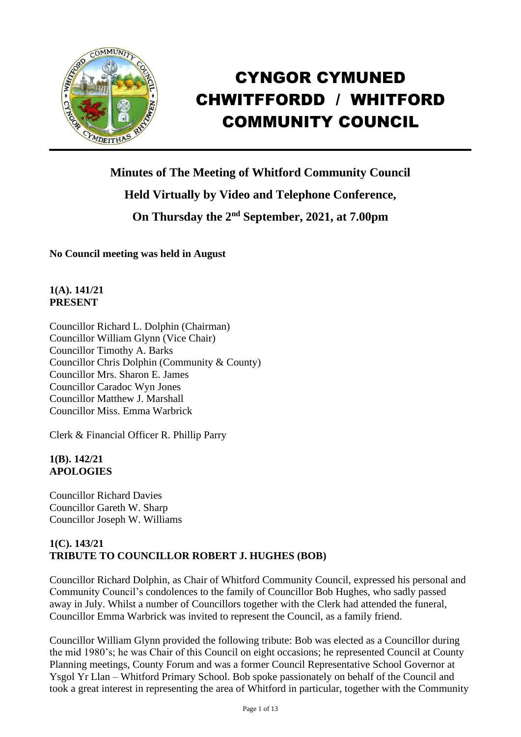

# CYNGOR CYMUNED CHWITFFORDD / WHITFORD COMMUNITY COUNCIL

**Minutes of The Meeting of Whitford Community Council Held Virtually by Video and Telephone Conference,** On Thursday the 2<sup>nd</sup> September, 2021, at 7.00pm

**No Council meeting was held in August**

### **1(A). 141/21 PRESENT**

Councillor Richard L. Dolphin (Chairman) Councillor William Glynn (Vice Chair) Councillor Timothy A. Barks Councillor Chris Dolphin (Community & County) Councillor Mrs. Sharon E. James Councillor Caradoc Wyn Jones Councillor Matthew J. Marshall Councillor Miss. Emma Warbrick

Clerk & Financial Officer R. Phillip Parry

## **1(B). 142/21 APOLOGIES**

Councillor Richard Davies Councillor Gareth W. Sharp Councillor Joseph W. Williams

## **1(C). 143/21 TRIBUTE TO COUNCILLOR ROBERT J. HUGHES (BOB)**

Councillor Richard Dolphin, as Chair of Whitford Community Council, expressed his personal and Community Council's condolences to the family of Councillor Bob Hughes, who sadly passed away in July. Whilst a number of Councillors together with the Clerk had attended the funeral, Councillor Emma Warbrick was invited to represent the Council, as a family friend.

Councillor William Glynn provided the following tribute: Bob was elected as a Councillor during the mid 1980's; he was Chair of this Council on eight occasions; he represented Council at County Planning meetings, County Forum and was a former Council Representative School Governor at Ysgol Yr Llan – Whitford Primary School. Bob spoke passionately on behalf of the Council and took a great interest in representing the area of Whitford in particular, together with the Community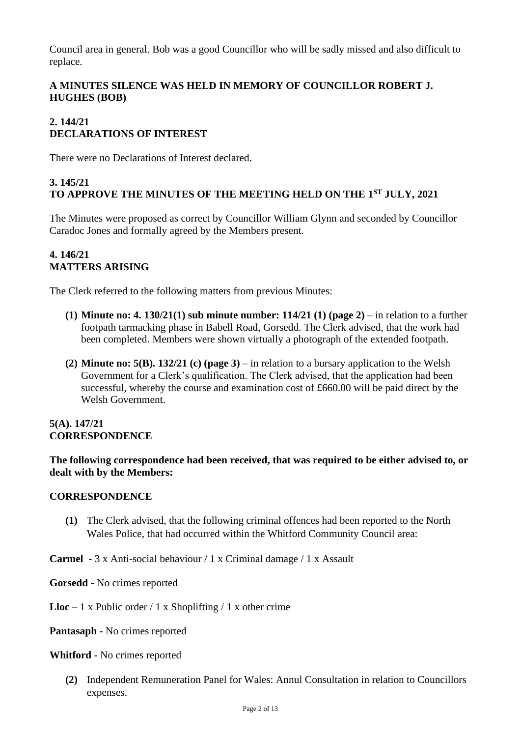Council area in general. Bob was a good Councillor who will be sadly missed and also difficult to replace.

## **A MINUTES SILENCE WAS HELD IN MEMORY OF COUNCILLOR ROBERT J. HUGHES (BOB)**

## **2. 144/21 DECLARATIONS OF INTEREST**

There were no Declarations of Interest declared.

## **3. 145/21 TO APPROVE THE MINUTES OF THE MEETING HELD ON THE 1 ST JULY, 2021**

The Minutes were proposed as correct by Councillor William Glynn and seconded by Councillor Caradoc Jones and formally agreed by the Members present.

### **4. 146/21 MATTERS ARISING**

The Clerk referred to the following matters from previous Minutes:

- **(1) Minute no: 4. 130/21(1) sub minute number: 114/21 (1) (page 2)** in relation to a further footpath tarmacking phase in Babell Road, Gorsedd. The Clerk advised, that the work had been completed. Members were shown virtually a photograph of the extended footpath.
- **(2) Minute no: 5(B). 132/21 (c) (page 3)** in relation to a bursary application to the Welsh Government for a Clerk's qualification. The Clerk advised, that the application had been successful, whereby the course and examination cost of £660.00 will be paid direct by the Welsh Government.

## **5(A). 147/21 CORRESPONDENCE**

**The following correspondence had been received, that was required to be either advised to, or dealt with by the Members:**

## **CORRESPONDENCE**

**(1)** The Clerk advised, that the following criminal offences had been reported to the North Wales Police, that had occurred within the Whitford Community Council area:

**Carmel -** 3 x Anti-social behaviour / 1 x Criminal damage / 1 x Assault

**Gorsedd -** No crimes reported

**Lloc –** 1 x Public order / 1 x Shoplifting / 1 x other crime

**Pantasaph -** No crimes reported

#### **Whitford -** No crimes reported

**(2)** Independent Remuneration Panel for Wales: Annul Consultation in relation to Councillors expenses.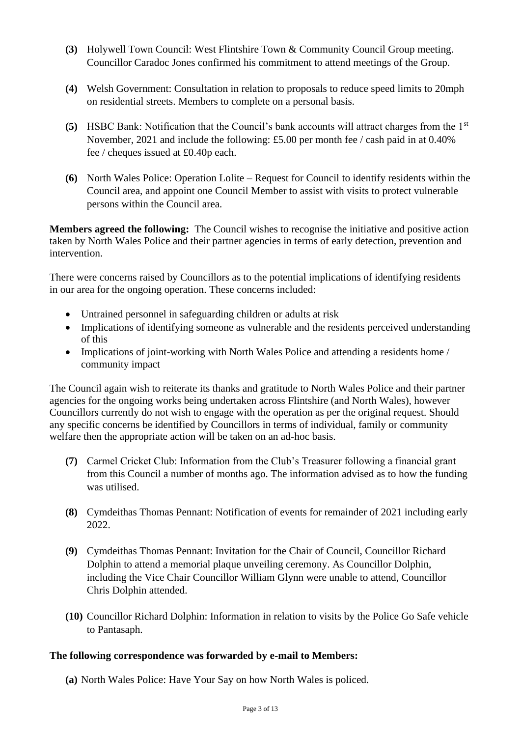- **(3)** Holywell Town Council: West Flintshire Town & Community Council Group meeting. Councillor Caradoc Jones confirmed his commitment to attend meetings of the Group.
- **(4)** Welsh Government: Consultation in relation to proposals to reduce speed limits to 20mph on residential streets. Members to complete on a personal basis.
- **(5)** HSBC Bank: Notification that the Council's bank accounts will attract charges from the 1st November, 2021 and include the following: £5.00 per month fee / cash paid in at 0.40% fee / cheques issued at £0.40p each.
- **(6)** North Wales Police: Operation Lolite Request for Council to identify residents within the Council area, and appoint one Council Member to assist with visits to protect vulnerable persons within the Council area.

**Members agreed the following:** The Council wishes to recognise the initiative and positive action taken by North Wales Police and their partner agencies in terms of early detection, prevention and intervention.

There were concerns raised by Councillors as to the potential implications of identifying residents in our area for the ongoing operation. These concerns included:

- Untrained personnel in safeguarding children or adults at risk
- Implications of identifying someone as vulnerable and the residents perceived understanding of this
- Implications of joint-working with North Wales Police and attending a residents home / community impact

The Council again wish to reiterate its thanks and gratitude to North Wales Police and their partner agencies for the ongoing works being undertaken across Flintshire (and North Wales), however Councillors currently do not wish to engage with the operation as per the original request. Should any specific concerns be identified by Councillors in terms of individual, family or community welfare then the appropriate action will be taken on an ad-hoc basis.

- **(7)** Carmel Cricket Club: Information from the Club's Treasurer following a financial grant from this Council a number of months ago. The information advised as to how the funding was utilised.
- **(8)** Cymdeithas Thomas Pennant: Notification of events for remainder of 2021 including early 2022.
- **(9)** Cymdeithas Thomas Pennant: Invitation for the Chair of Council, Councillor Richard Dolphin to attend a memorial plaque unveiling ceremony. As Councillor Dolphin, including the Vice Chair Councillor William Glynn were unable to attend, Councillor Chris Dolphin attended.
- **(10)** Councillor Richard Dolphin: Information in relation to visits by the Police Go Safe vehicle to Pantasaph.

## **The following correspondence was forwarded by e-mail to Members:**

**(a)** North Wales Police: Have Your Say on how North Wales is policed.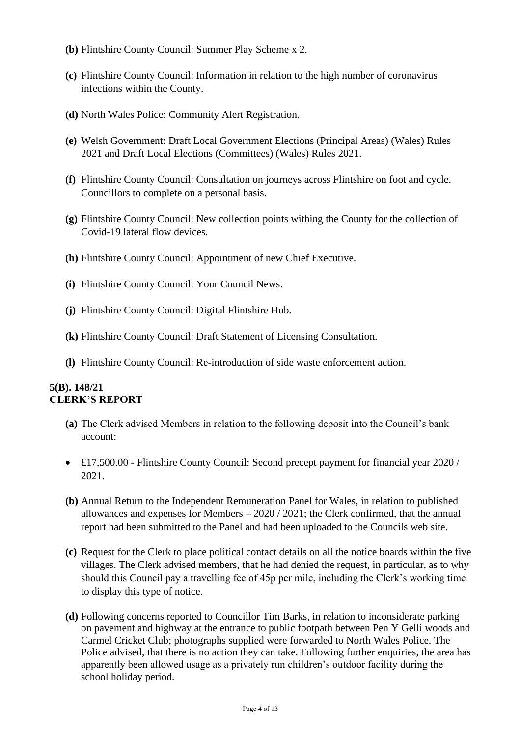- **(b)** Flintshire County Council: Summer Play Scheme x 2.
- **(c)** Flintshire County Council: Information in relation to the high number of coronavirus infections within the County.
- **(d)** North Wales Police: Community Alert Registration.
- **(e)** Welsh Government: Draft Local Government Elections (Principal Areas) (Wales) Rules 2021 and Draft Local Elections (Committees) (Wales) Rules 2021.
- **(f)** Flintshire County Council: Consultation on journeys across Flintshire on foot and cycle. Councillors to complete on a personal basis.
- **(g)** Flintshire County Council: New collection points withing the County for the collection of Covid-19 lateral flow devices.
- **(h)** Flintshire County Council: Appointment of new Chief Executive.
- **(i)** Flintshire County Council: Your Council News.
- **(j)** Flintshire County Council: Digital Flintshire Hub.
- **(k)** Flintshire County Council: Draft Statement of Licensing Consultation.
- **(l)** Flintshire County Council: Re-introduction of side waste enforcement action.

#### **5(B). 148/21 CLERK'S REPORT**

- **(a)** The Clerk advised Members in relation to the following deposit into the Council's bank account:
- £17,500.00 Flintshire County Council: Second precept payment for financial year 2020 / 2021.
- **(b)** Annual Return to the Independent Remuneration Panel for Wales, in relation to published allowances and expenses for Members  $-2020/2021$ ; the Clerk confirmed, that the annual report had been submitted to the Panel and had been uploaded to the Councils web site.
- **(c)** Request for the Clerk to place political contact details on all the notice boards within the five villages. The Clerk advised members, that he had denied the request, in particular, as to why should this Council pay a travelling fee of 45p per mile, including the Clerk's working time to display this type of notice.
- **(d)** Following concerns reported to Councillor Tim Barks, in relation to inconsiderate parking on pavement and highway at the entrance to public footpath between Pen Y Gelli woods and Carmel Cricket Club; photographs supplied were forwarded to North Wales Police. The Police advised, that there is no action they can take. Following further enquiries, the area has apparently been allowed usage as a privately run children's outdoor facility during the school holiday period.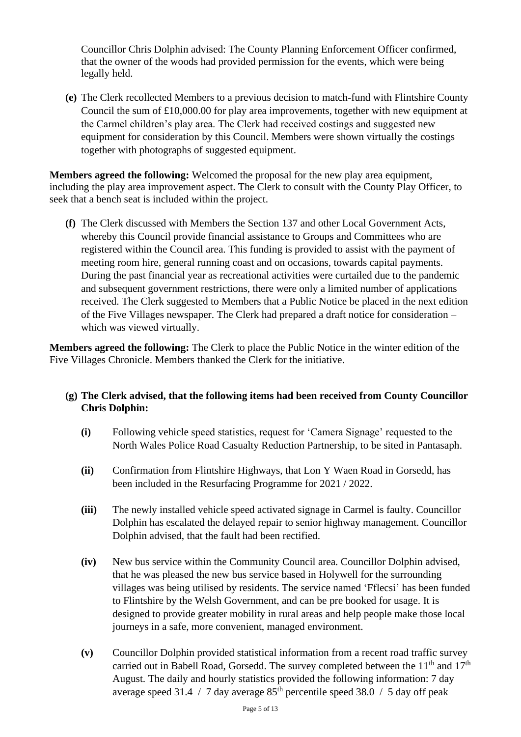Councillor Chris Dolphin advised: The County Planning Enforcement Officer confirmed, that the owner of the woods had provided permission for the events, which were being legally held.

**(e)** The Clerk recollected Members to a previous decision to match-fund with Flintshire County Council the sum of £10,000.00 for play area improvements, together with new equipment at the Carmel children's play area. The Clerk had received costings and suggested new equipment for consideration by this Council. Members were shown virtually the costings together with photographs of suggested equipment.

**Members agreed the following:** Welcomed the proposal for the new play area equipment, including the play area improvement aspect. The Clerk to consult with the County Play Officer, to seek that a bench seat is included within the project.

**(f)** The Clerk discussed with Members the Section 137 and other Local Government Acts, whereby this Council provide financial assistance to Groups and Committees who are registered within the Council area. This funding is provided to assist with the payment of meeting room hire, general running coast and on occasions, towards capital payments. During the past financial year as recreational activities were curtailed due to the pandemic and subsequent government restrictions, there were only a limited number of applications received. The Clerk suggested to Members that a Public Notice be placed in the next edition of the Five Villages newspaper. The Clerk had prepared a draft notice for consideration – which was viewed virtually.

**Members agreed the following:** The Clerk to place the Public Notice in the winter edition of the Five Villages Chronicle. Members thanked the Clerk for the initiative.

## **(g) The Clerk advised, that the following items had been received from County Councillor Chris Dolphin:**

- **(i)** Following vehicle speed statistics, request for 'Camera Signage' requested to the North Wales Police Road Casualty Reduction Partnership, to be sited in Pantasaph.
- **(ii)** Confirmation from Flintshire Highways, that Lon Y Waen Road in Gorsedd, has been included in the Resurfacing Programme for 2021 / 2022.
- **(iii)** The newly installed vehicle speed activated signage in Carmel is faulty. Councillor Dolphin has escalated the delayed repair to senior highway management. Councillor Dolphin advised, that the fault had been rectified.
- **(iv)** New bus service within the Community Council area. Councillor Dolphin advised, that he was pleased the new bus service based in Holywell for the surrounding villages was being utilised by residents. The service named 'Fflecsi' has been funded to Flintshire by the Welsh Government, and can be pre booked for usage. It is designed to provide greater mobility in rural areas and help people make those local journeys in a safe, more convenient, managed environment.
- **(v)** Councillor Dolphin provided statistical information from a recent road traffic survey carried out in Babell Road, Gorsedd. The survey completed between the  $11<sup>th</sup>$  and  $17<sup>th</sup>$ August. The daily and hourly statistics provided the following information: 7 day average speed 31.4 / 7 day average  $85<sup>th</sup>$  percentile speed 38.0 / 5 day off peak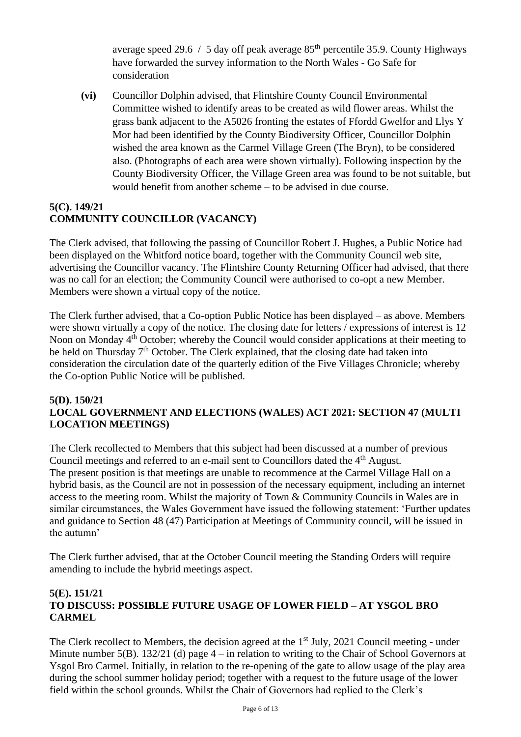average speed 29.6 / 5 day off peak average  $85<sup>th</sup>$  percentile 35.9. County Highways have forwarded the survey information to the North Wales - Go Safe for consideration

**(vi)** Councillor Dolphin advised, that Flintshire County Council Environmental Committee wished to identify areas to be created as wild flower areas. Whilst the grass bank adjacent to the A5026 fronting the estates of Ffordd Gwelfor and Llys Y Mor had been identified by the County Biodiversity Officer, Councillor Dolphin wished the area known as the Carmel Village Green (The Bryn), to be considered also. (Photographs of each area were shown virtually). Following inspection by the County Biodiversity Officer, the Village Green area was found to be not suitable, but would benefit from another scheme – to be advised in due course.

## **5(C). 149/21 COMMUNITY COUNCILLOR (VACANCY)**

The Clerk advised, that following the passing of Councillor Robert J. Hughes, a Public Notice had been displayed on the Whitford notice board, together with the Community Council web site, advertising the Councillor vacancy. The Flintshire County Returning Officer had advised, that there was no call for an election; the Community Council were authorised to co-opt a new Member. Members were shown a virtual copy of the notice.

The Clerk further advised, that a Co-option Public Notice has been displayed – as above. Members were shown virtually a copy of the notice. The closing date for letters / expressions of interest is 12 Noon on Monday 4<sup>th</sup> October; whereby the Council would consider applications at their meeting to be held on Thursday 7<sup>th</sup> October. The Clerk explained, that the closing date had taken into consideration the circulation date of the quarterly edition of the Five Villages Chronicle; whereby the Co-option Public Notice will be published.

#### **5(D). 150/21 LOCAL GOVERNMENT AND ELECTIONS (WALES) ACT 2021: SECTION 47 (MULTI LOCATION MEETINGS)**

The Clerk recollected to Members that this subject had been discussed at a number of previous Council meetings and referred to an e-mail sent to Councillors dated the 4<sup>th</sup> August. The present position is that meetings are unable to recommence at the Carmel Village Hall on a hybrid basis, as the Council are not in possession of the necessary equipment, including an internet access to the meeting room. Whilst the majority of Town & Community Councils in Wales are in similar circumstances, the Wales Government have issued the following statement: 'Further updates and guidance to Section 48 (47) Participation at Meetings of Community council, will be issued in the autumn'

The Clerk further advised, that at the October Council meeting the Standing Orders will require amending to include the hybrid meetings aspect.

## **5(E). 151/21 TO DISCUSS: POSSIBLE FUTURE USAGE OF LOWER FIELD – AT YSGOL BRO CARMEL**

The Clerk recollect to Members, the decision agreed at the  $1<sup>st</sup>$  July, 2021 Council meeting - under Minute number  $5(B)$ . 132/21 (d) page  $4 -$  in relation to writing to the Chair of School Governors at Ysgol Bro Carmel. Initially, in relation to the re-opening of the gate to allow usage of the play area during the school summer holiday period; together with a request to the future usage of the lower field within the school grounds. Whilst the Chair of Governors had replied to the Clerk's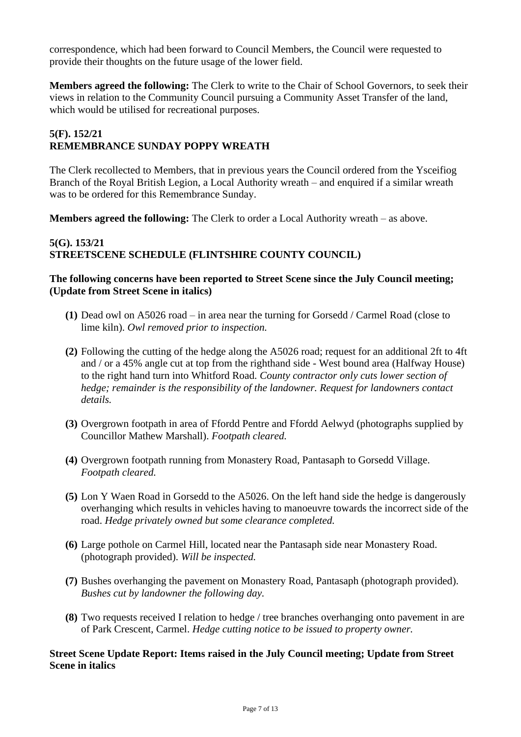correspondence, which had been forward to Council Members, the Council were requested to provide their thoughts on the future usage of the lower field.

**Members agreed the following:** The Clerk to write to the Chair of School Governors, to seek their views in relation to the Community Council pursuing a Community Asset Transfer of the land, which would be utilised for recreational purposes.

## **5(F). 152/21 REMEMBRANCE SUNDAY POPPY WREATH**

The Clerk recollected to Members, that in previous years the Council ordered from the Ysceifiog Branch of the Royal British Legion, a Local Authority wreath – and enquired if a similar wreath was to be ordered for this Remembrance Sunday.

**Members agreed the following:** The Clerk to order a Local Authority wreath – as above.

## **5(G). 153/21 STREETSCENE SCHEDULE (FLINTSHIRE COUNTY COUNCIL)**

#### **The following concerns have been reported to Street Scene since the July Council meeting; (Update from Street Scene in italics)**

- **(1)** Dead owl on A5026 road in area near the turning for Gorsedd / Carmel Road (close to lime kiln). *Owl removed prior to inspection.*
- **(2)** Following the cutting of the hedge along the A5026 road; request for an additional 2ft to 4ft and / or a 45% angle cut at top from the righthand side - West bound area (Halfway House) to the right hand turn into Whitford Road. *County contractor only cuts lower section of hedge; remainder is the responsibility of the landowner. Request for landowners contact details.*
- **(3)** Overgrown footpath in area of Ffordd Pentre and Ffordd Aelwyd (photographs supplied by Councillor Mathew Marshall). *Footpath cleared.*
- **(4)** Overgrown footpath running from Monastery Road, Pantasaph to Gorsedd Village. *Footpath cleared.*
- **(5)** Lon Y Waen Road in Gorsedd to the A5026. On the left hand side the hedge is dangerously overhanging which results in vehicles having to manoeuvre towards the incorrect side of the road. *Hedge privately owned but some clearance completed.*
- **(6)** Large pothole on Carmel Hill, located near the Pantasaph side near Monastery Road. (photograph provided). *Will be inspected.*
- **(7)** Bushes overhanging the pavement on Monastery Road, Pantasaph (photograph provided). *Bushes cut by landowner the following day.*
- **(8)** Two requests received I relation to hedge / tree branches overhanging onto pavement in are of Park Crescent, Carmel. *Hedge cutting notice to be issued to property owner.*

#### **Street Scene Update Report: Items raised in the July Council meeting; Update from Street Scene in italics**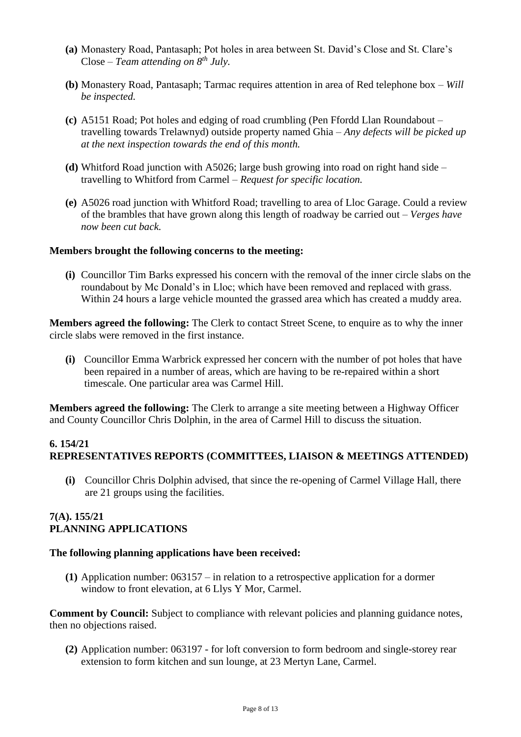- **(a)** Monastery Road, Pantasaph; Pot holes in area between St. David's Close and St. Clare's Close – *Team attending on 8th July.*
- **(b)** Monastery Road, Pantasaph; Tarmac requires attention in area of Red telephone box *Will be inspected.*
- **(c)** A5151 Road; Pot holes and edging of road crumbling (Pen Ffordd Llan Roundabout travelling towards Trelawnyd) outside property named Ghia – *Any defects will be picked up at the next inspection towards the end of this month.*
- **(d)** Whitford Road junction with A5026; large bush growing into road on right hand side travelling to Whitford from Carmel – *Request for specific location.*
- **(e)** A5026 road junction with Whitford Road; travelling to area of Lloc Garage. Could a review of the brambles that have grown along this length of roadway be carried out – *Verges have now been cut back.*

#### **Members brought the following concerns to the meeting:**

**(i)** Councillor Tim Barks expressed his concern with the removal of the inner circle slabs on the roundabout by Mc Donald's in Lloc; which have been removed and replaced with grass. Within 24 hours a large vehicle mounted the grassed area which has created a muddy area.

**Members agreed the following:** The Clerk to contact Street Scene, to enquire as to why the inner circle slabs were removed in the first instance.

**(i)** Councillor Emma Warbrick expressed her concern with the number of pot holes that have been repaired in a number of areas, which are having to be re-repaired within a short timescale. One particular area was Carmel Hill.

**Members agreed the following:** The Clerk to arrange a site meeting between a Highway Officer and County Councillor Chris Dolphin, in the area of Carmel Hill to discuss the situation.

## **6. 154/21 REPRESENTATIVES REPORTS (COMMITTEES, LIAISON & MEETINGS ATTENDED)**

**(i)** Councillor Chris Dolphin advised, that since the re-opening of Carmel Village Hall, there are 21 groups using the facilities.

## **7(A). 155/21 PLANNING APPLICATIONS**

#### **The following planning applications have been received:**

**(1)** Application number: 063157 – in relation to a retrospective application for a dormer window to front elevation, at 6 Llys Y Mor, Carmel.

**Comment by Council:** Subject to compliance with relevant policies and planning guidance notes, then no objections raised.

**(2)** Application number: 063197 - for loft conversion to form bedroom and single-storey rear extension to form kitchen and sun lounge, at 23 Mertyn Lane, Carmel.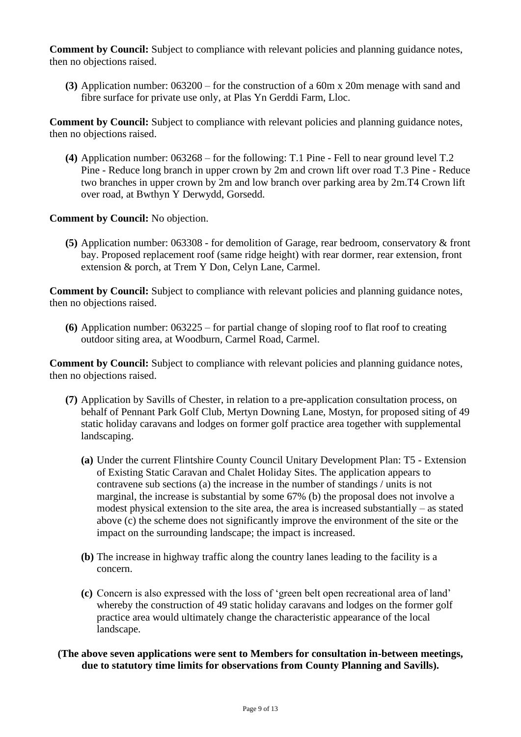**Comment by Council:** Subject to compliance with relevant policies and planning guidance notes, then no objections raised.

**(3)** Application number: 063200 – for the construction of a 60m x 20m menage with sand and fibre surface for private use only, at Plas Yn Gerddi Farm, Lloc.

**Comment by Council:** Subject to compliance with relevant policies and planning guidance notes, then no objections raised.

**(4)** Application number: 063268 – for the following: T.1 Pine - Fell to near ground level T.2 Pine - Reduce long branch in upper crown by 2m and crown lift over road T.3 Pine - Reduce two branches in upper crown by 2m and low branch over parking area by 2m.T4 Crown lift over road, at Bwthyn Y Derwydd, Gorsedd.

**Comment by Council:** No objection.

**(5)** Application number: 063308 - for demolition of Garage, rear bedroom, conservatory & front bay. Proposed replacement roof (same ridge height) with rear dormer, rear extension, front extension & porch, at Trem Y Don, Celyn Lane, Carmel.

**Comment by Council:** Subject to compliance with relevant policies and planning guidance notes, then no objections raised.

**(6)** Application number: 063225 – for partial change of sloping roof to flat roof to creating outdoor siting area, at Woodburn, Carmel Road, Carmel.

**Comment by Council:** Subject to compliance with relevant policies and planning guidance notes, then no objections raised.

- **(7)** Application by Savills of Chester, in relation to a pre-application consultation process, on behalf of Pennant Park Golf Club, Mertyn Downing Lane, Mostyn, for proposed siting of 49 static holiday caravans and lodges on former golf practice area together with supplemental landscaping.
	- **(a)** Under the current Flintshire County Council Unitary Development Plan: T5 Extension of Existing Static Caravan and Chalet Holiday Sites. The application appears to contravene sub sections (a) the increase in the number of standings / units is not marginal, the increase is substantial by some 67% (b) the proposal does not involve a modest physical extension to the site area, the area is increased substantially – as stated above (c) the scheme does not significantly improve the environment of the site or the impact on the surrounding landscape; the impact is increased.
	- **(b)** The increase in highway traffic along the country lanes leading to the facility is a concern.
	- **(c)** Concern is also expressed with the loss of 'green belt open recreational area of land' whereby the construction of 49 static holiday caravans and lodges on the former golf practice area would ultimately change the characteristic appearance of the local landscape.
- **(The above seven applications were sent to Members for consultation in-between meetings, due to statutory time limits for observations from County Planning and Savills).**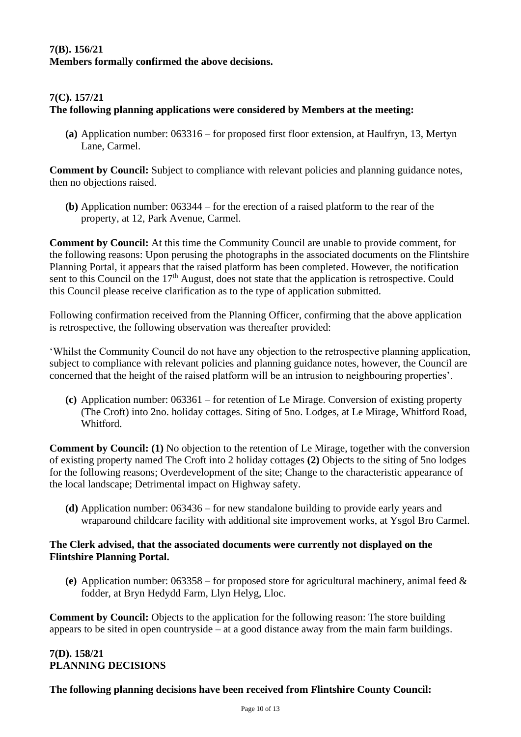## **7(B). 156/21 Members formally confirmed the above decisions.**

## **7(C). 157/21**

## **The following planning applications were considered by Members at the meeting:**

**(a)** Application number: 063316 – for proposed first floor extension, at Haulfryn, 13, Mertyn Lane, Carmel.

**Comment by Council:** Subject to compliance with relevant policies and planning guidance notes, then no objections raised.

**(b)** Application number: 063344 – for the erection of a raised platform to the rear of the property, at 12, Park Avenue, Carmel.

**Comment by Council:** At this time the Community Council are unable to provide comment, for the following reasons: Upon perusing the photographs in the associated documents on the Flintshire Planning Portal, it appears that the raised platform has been completed. However, the notification sent to this Council on the  $17<sup>th</sup>$  August, does not state that the application is retrospective. Could this Council please receive clarification as to the type of application submitted.

Following confirmation received from the Planning Officer, confirming that the above application is retrospective, the following observation was thereafter provided:

'Whilst the Community Council do not have any objection to the retrospective planning application, subject to compliance with relevant policies and planning guidance notes, however, the Council are concerned that the height of the raised platform will be an intrusion to neighbouring properties'.

**(c)** Application number: 063361 – for retention of Le Mirage. Conversion of existing property (The Croft) into 2no. holiday cottages. Siting of 5no. Lodges, at Le Mirage, Whitford Road, Whitford.

**Comment by Council: (1)** No objection to the retention of Le Mirage, together with the conversion of existing property named The Croft into 2 holiday cottages **(2)** Objects to the siting of 5no lodges for the following reasons; Overdevelopment of the site; Change to the characteristic appearance of the local landscape; Detrimental impact on Highway safety.

**(d)** Application number: 063436 – for new standalone building to provide early years and wraparound childcare facility with additional site improvement works, at Ysgol Bro Carmel.

#### **The Clerk advised, that the associated documents were currently not displayed on the Flintshire Planning Portal.**

**(e)** Application number: 063358 – for proposed store for agricultural machinery, animal feed & fodder, at Bryn Hedydd Farm, Llyn Helyg, Lloc.

**Comment by Council:** Objects to the application for the following reason: The store building appears to be sited in open countryside – at a good distance away from the main farm buildings.

#### **7(D). 158/21 PLANNING DECISIONS**

## **The following planning decisions have been received from Flintshire County Council:**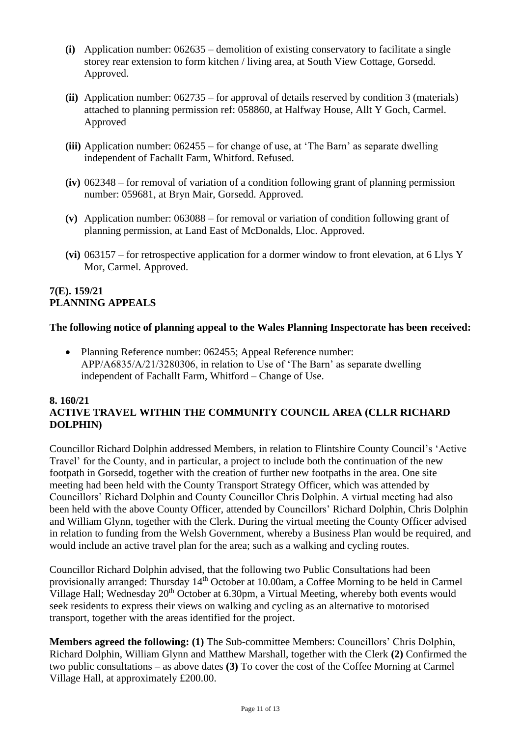- **(i)** Application number: 062635 demolition of existing conservatory to facilitate a single storey rear extension to form kitchen / living area, at South View Cottage, Gorsedd. Approved.
- **(ii)** Application number: 062735 for approval of details reserved by condition 3 (materials) attached to planning permission ref: 058860, at Halfway House, Allt Y Goch, Carmel. Approved
- **(iii)** Application number: 062455 for change of use, at 'The Barn' as separate dwelling independent of Fachallt Farm, Whitford. Refused.
- **(iv)** 062348 for removal of variation of a condition following grant of planning permission number: 059681, at Bryn Mair, Gorsedd. Approved.
- **(v)** Application number: 063088 for removal or variation of condition following grant of planning permission, at Land East of McDonalds, Lloc. Approved.
- **(vi)** 063157 for retrospective application for a dormer window to front elevation, at 6 Llys Y Mor, Carmel. Approved.

#### **7(E). 159/21 PLANNING APPEALS**

## **The following notice of planning appeal to the Wales Planning Inspectorate has been received:**

• Planning Reference number: 062455; Appeal Reference number: APP/A6835/A/21/3280306, in relation to Use of 'The Barn' as separate dwelling independent of Fachallt Farm, Whitford – Change of Use.

## **8. 160/21 ACTIVE TRAVEL WITHIN THE COMMUNITY COUNCIL AREA (CLLR RICHARD DOLPHIN)**

Councillor Richard Dolphin addressed Members, in relation to Flintshire County Council's 'Active Travel' for the County, and in particular, a project to include both the continuation of the new footpath in Gorsedd, together with the creation of further new footpaths in the area. One site meeting had been held with the County Transport Strategy Officer, which was attended by Councillors' Richard Dolphin and County Councillor Chris Dolphin. A virtual meeting had also been held with the above County Officer, attended by Councillors' Richard Dolphin, Chris Dolphin and William Glynn, together with the Clerk. During the virtual meeting the County Officer advised in relation to funding from the Welsh Government, whereby a Business Plan would be required, and would include an active travel plan for the area; such as a walking and cycling routes.

Councillor Richard Dolphin advised, that the following two Public Consultations had been provisionally arranged: Thursday 14th October at 10.00am, a Coffee Morning to be held in Carmel Village Hall; Wednesday 20<sup>th</sup> October at 6.30pm, a Virtual Meeting, whereby both events would seek residents to express their views on walking and cycling as an alternative to motorised transport, together with the areas identified for the project.

**Members agreed the following: (1)** The Sub-committee Members: Councillors' Chris Dolphin, Richard Dolphin, William Glynn and Matthew Marshall, together with the Clerk **(2)** Confirmed the two public consultations – as above dates **(3)** To cover the cost of the Coffee Morning at Carmel Village Hall, at approximately £200.00.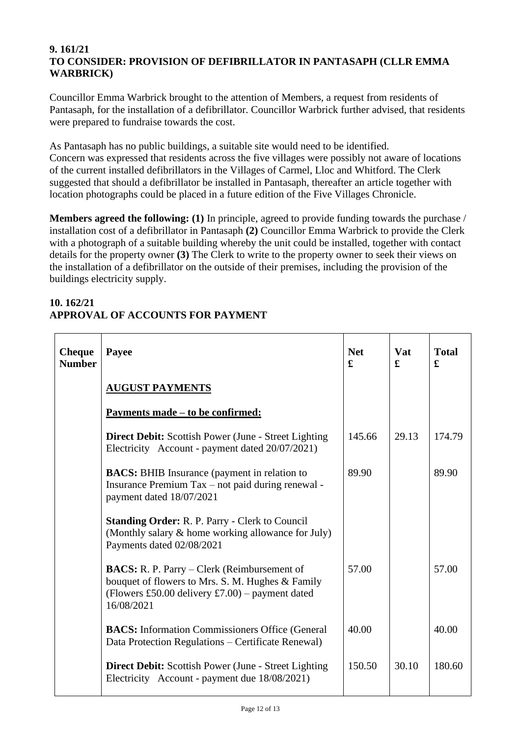#### **9. 161/21 TO CONSIDER: PROVISION OF DEFIBRILLATOR IN PANTASAPH (CLLR EMMA WARBRICK)**

Councillor Emma Warbrick brought to the attention of Members, a request from residents of Pantasaph, for the installation of a defibrillator. Councillor Warbrick further advised, that residents were prepared to fundraise towards the cost.

As Pantasaph has no public buildings, a suitable site would need to be identified. Concern was expressed that residents across the five villages were possibly not aware of locations of the current installed defibrillators in the Villages of Carmel, Lloc and Whitford. The Clerk suggested that should a defibrillator be installed in Pantasaph, thereafter an article together with location photographs could be placed in a future edition of the Five Villages Chronicle.

**Members agreed the following: (1)** In principle, agreed to provide funding towards the purchase / installation cost of a defibrillator in Pantasaph **(2)** Councillor Emma Warbrick to provide the Clerk with a photograph of a suitable building whereby the unit could be installed, together with contact details for the property owner **(3)** The Clerk to write to the property owner to seek their views on the installation of a defibrillator on the outside of their premises, including the provision of the buildings electricity supply.

#### **Cheque Number Payee AUGUST PAYMENTS Payments made – to be confirmed: Direct Debit:** Scottish Power (June - Street Lighting Electricity Account - payment dated 20/07/2021) **BACS:** BHIB Insurance (payment in relation to Insurance Premium Tax – not paid during renewal payment dated 18/07/2021 **Standing Order:** R. P. Parry - Clerk to Council (Monthly salary & home working allowance for July) Payments dated 02/08/2021 **BACS:** R. P. Parry – Clerk (Reimbursement of bouquet of flowers to Mrs. S. M. Hughes & Family (Flowers £50.00 delivery £7.00) – payment dated 16/08/2021 **BACS:** Information Commissioners Office (General) Data Protection Regulations – Certificate Renewal) **Direct Debit:** Scottish Power (June - Street Lighting Electricity Account - payment due 18/08/2021) **Net £** 145.66 89.90 57.00 40.00 150.50 **Vat £** 29.13 30.10 **Total £** 174.79 89.90 57.00 40.00 180.60

## **10. 162/21 APPROVAL OF ACCOUNTS FOR PAYMENT**